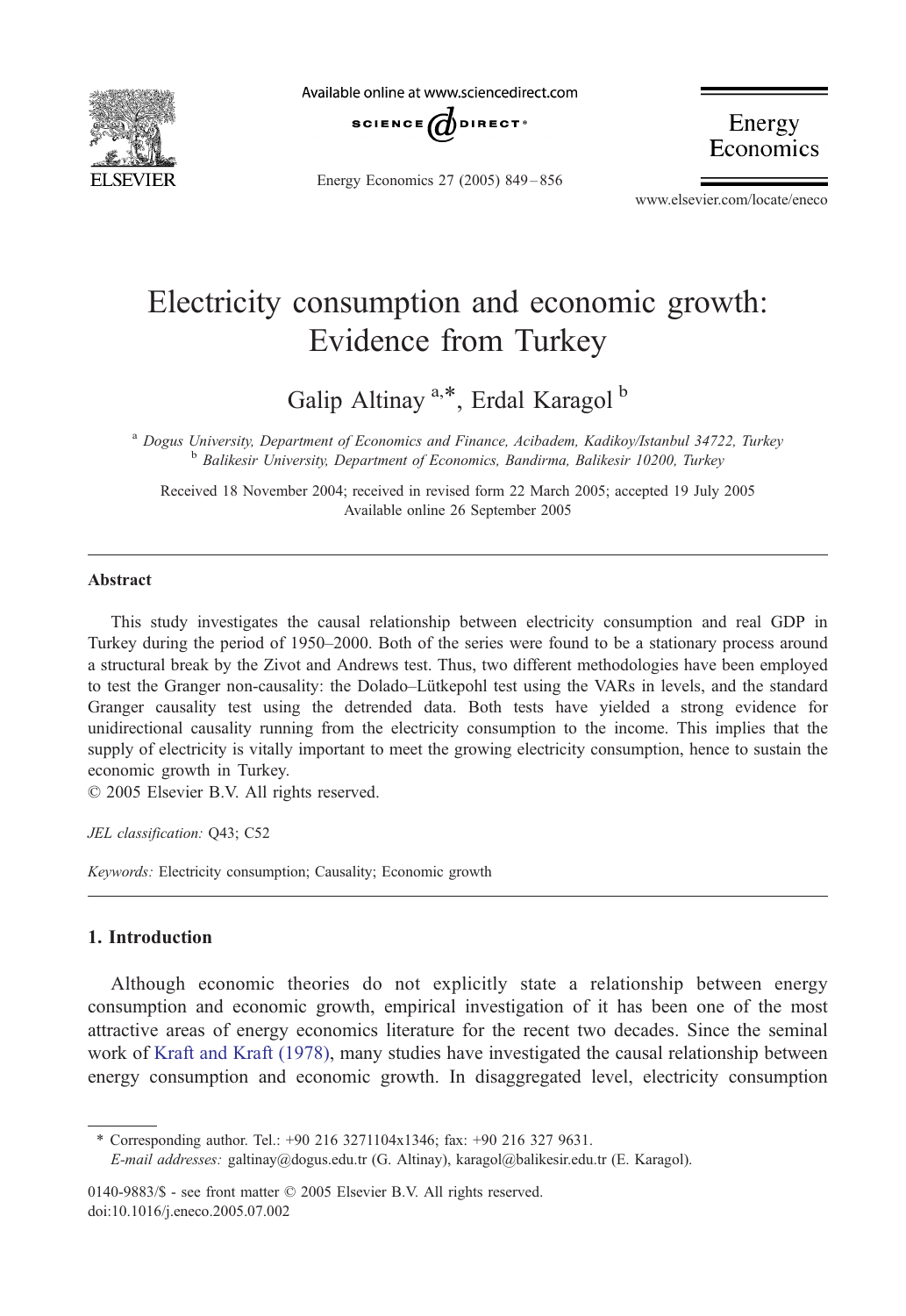

Available online at www.sciencedirect.com



Energy Economics 27 (2005) 849 – 856

Energy<br>Economics

www.elsevier.com/locate/eneco

## Electricity consumption and economic growth: Evidence from Turkey

Galip Altinay<sup>a,\*</sup>, Erdal Karagol<sup>b</sup>

<sup>a</sup> Dogus University, Department of Economics and Finance, Acibadem, Kadikoy/Istanbul 34722, Turkey <sup>b</sup> Balikesir University, Department of Economics, Bandirma, Balikesir 10200, Turkey

Received 18 November 2004; received in revised form 22 March 2005; accepted 19 July 2005 Available online 26 September 2005

## Abstract

This study investigates the causal relationship between electricity consumption and real GDP in Turkey during the period of 1950–2000. Both of the series were found to be a stationary process around a structural break by the Zivot and Andrews test. Thus, two different methodologies have been employed to test the Granger non-causality: the Dolado–Lütkepohl test using the VARs in levels, and the standard Granger causality test using the detrended data. Both tests have yielded a strong evidence for unidirectional causality running from the electricity consumption to the income. This implies that the supply of electricity is vitally important to meet the growing electricity consumption, hence to sustain the economic growth in Turkey.

 $\odot$  2005 Elsevier B.V. All rights reserved.

JEL classification: Q43; C52

Keywords: Electricity consumption; Causality; Economic growth

## 1. Introduction

Although economic theories do not explicitly state a relationship between energy consumption and economic growth, empirical investigation of it has been one of the most attractive areas of energy economics literature for the recent two decades. Since the seminal work of [Kraft and Kraft \(1978\)](#page--1-0), many studies have investigated the causal relationship between energy consumption and economic growth. In disaggregated level, electricity consumption

\* Corresponding author. Tel.: +90 216 3271104x1346; fax: +90 216 327 9631.

E-mail addresses: galtinay@dogus.edu.tr (G. Altinay), karagol@balikesir.edu.tr (E. Karagol).

0140-9883/\$ - see front matter  $\odot$  2005 Elsevier B.V. All rights reserved. doi:10.1016/j.eneco.2005.07.002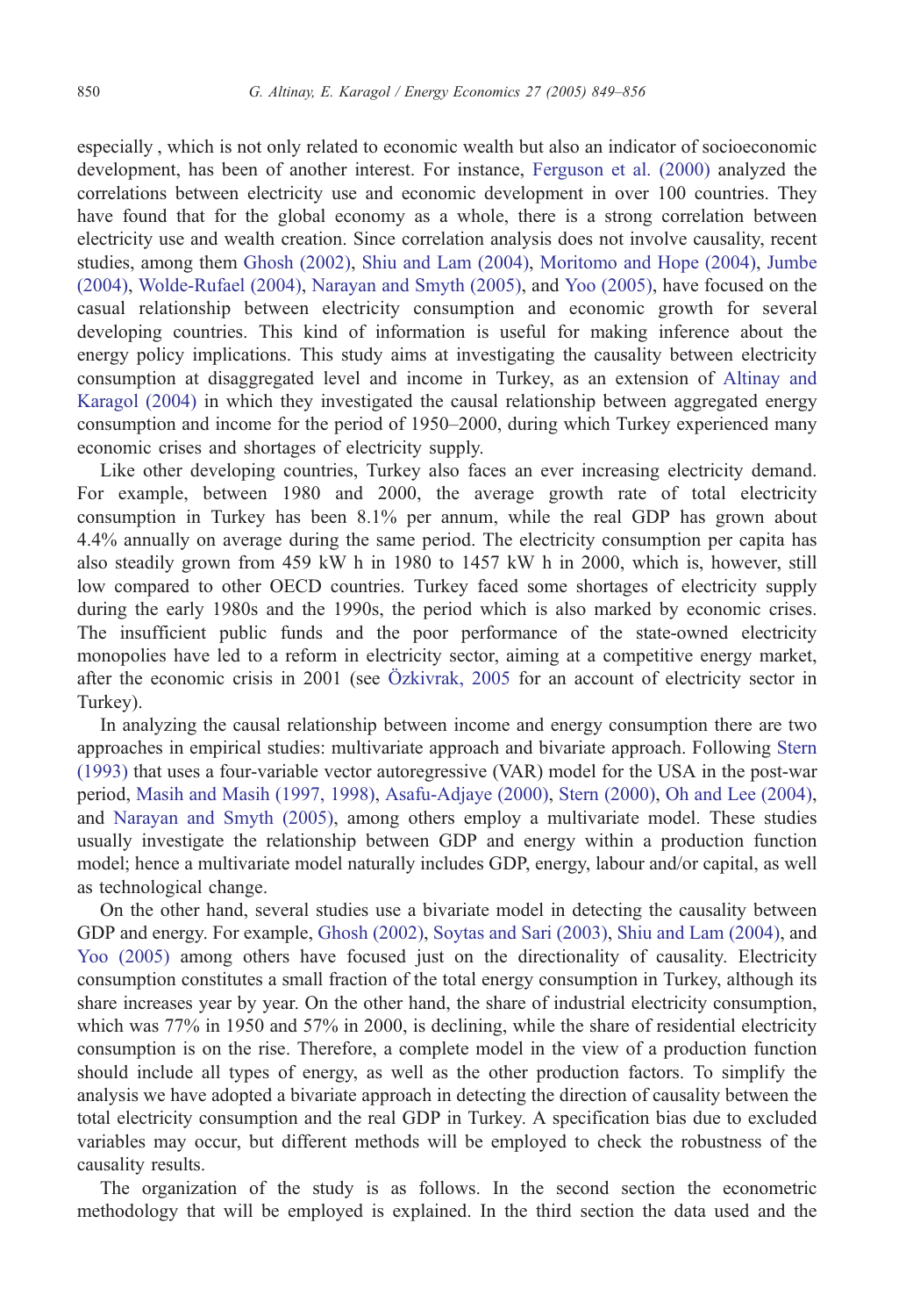especially , which is not only related to economic wealth but also an indicator of socioeconomic development, has been of another interest. For instance, [Ferguson et al. \(2000\)](#page--1-0) analyzed the correlations between electricity use and economic development in over 100 countries. They have found that for the global economy as a whole, there is a strong correlation between electricity use and wealth creation. Since correlation analysis does not involve causality, recent studies, among them [Ghosh \(2002\),](#page--1-0) [Shiu and Lam \(2004\)](#page--1-0), [Moritomo and Hope \(2004\),](#page--1-0) [Jumbe](#page--1-0) (2004), [Wolde-Rufael \(2004\),](#page--1-0) [Narayan and Smyth \(2005\),](#page--1-0) and [Yoo \(2005\)](#page--1-0), have focused on the casual relationship between electricity consumption and economic growth for several developing countries. This kind of information is useful for making inference about the energy policy implications. This study aims at investigating the causality between electricity consumption at disaggregated level and income in Turkey, as an extension of [Altinay and](#page--1-0) Karagol (2004) in which they investigated the causal relationship between aggregated energy consumption and income for the period of 1950–2000, during which Turkey experienced many economic crises and shortages of electricity supply.

Like other developing countries, Turkey also faces an ever increasing electricity demand. For example, between 1980 and 2000, the average growth rate of total electricity consumption in Turkey has been 8.1% per annum, while the real GDP has grown about 4.4% annually on average during the same period. The electricity consumption per capita has also steadily grown from 459 kW h in 1980 to 1457 kW h in 2000, which is, however, still low compared to other OECD countries. Turkey faced some shortages of electricity supply during the early 1980s and the 1990s, the period which is also marked by economic crises. The insufficient public funds and the poor performance of the state-owned electricity monopolies have led to a reform in electricity sector, aiming at a competitive energy market, after the economic crisis in 2001 (see Ö[zkivrak, 2005](#page--1-0) for an account of electricity sector in Turkey).

In analyzing the causal relationship between income and energy consumption there are two approaches in empirical studies: multivariate approach and bivariate approach. Following St[er](#page--1-0)n (1993) that uses a four-variable vector autoregressive (VAR) model for the USA in the post-war period, [Masih and Masih \(1997, 1998\),](#page--1-0) [Asafu-Adjaye \(2000\),](#page--1-0) [Stern \(2000\)](#page--1-0), [Oh and Lee \(2004\)](#page--1-0), and [Narayan and Smyth \(2005\)](#page--1-0), among others employ a multivariate model. These studies usually investigate the relationship between GDP and energy within a production function model; hence a multivariate model naturally includes GDP, energy, labour and/or capital, as well as technological change.

On the other hand, several studies use a bivariate model in detecting the causality between GDP and energy. For example, [Ghosh \(2002\),](#page--1-0) [Soytas and Sari \(2003\),](#page--1-0) [Shiu and Lam \(2004\),](#page--1-0) and [Yoo \(2005\)](#page--1-0) among others have focused just on the directionality of causality. Electricity consumption constitutes a small fraction of the total energy consumption in Turkey, although its share increases year by year. On the other hand, the share of industrial electricity consumption, which was 77% in 1950 and 57% in 2000, is declining, while the share of residential electricity consumption is on the rise. Therefore, a complete model in the view of a production function should include all types of energy, as well as the other production factors. To simplify the analysis we have adopted a bivariate approach in detecting the direction of causality between the total electricity consumption and the real GDP in Turkey. A specification bias due to excluded variables may occur, but different methods will be employed to check the robustness of the causality results.

The organization of the study is as follows. In the second section the econometric methodology that will be employed is explained. In the third section the data used and the